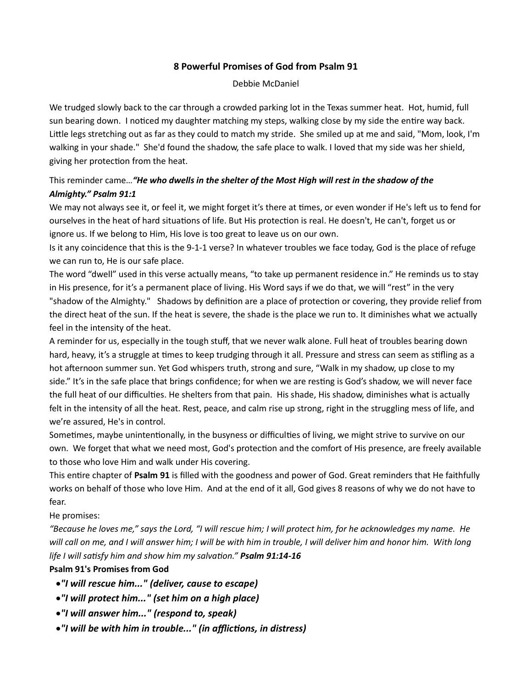### 8 Powerful Promises of God from Psalm 91

Debbie McDaniel

We trudged slowly back to the car through a crowded parking lot in the Texas summer heat. Hot, humid, full sun bearing down. I noticed my daughter matching my steps, walking close by my side the entire way back. Little legs stretching out as far as they could to match my stride. She smiled up at me and said, "Mom, look, I'm walking in your shade." She'd found the shadow, the safe place to walk. I loved that my side was her shield, giving her protection from the heat.

# This reminder came... "He who dwells in the shelter of the Most High will rest in the shadow of the Almighty." Psalm 91:1

We may not always see it, or feel it, we might forget it's there at times, or even wonder if He's left us to fend for ourselves in the heat of hard situations of life. But His protection is real. He doesn't, He can't, forget us or ignore us. If we belong to Him, His love is too great to leave us on our own.

Is it any coincidence that this is the 9-1-1 verse? In whatever troubles we face today, God is the place of refuge we can run to, He is our safe place.

The word "dwell" used in this verse actually means, "to take up permanent residence in." He reminds us to stay in His presence, for it's a permanent place of living. His Word says if we do that, we will "rest" in the very "shadow of the Almighty." Shadows by definition are a place of protection or covering, they provide relief from the direct heat of the sun. If the heat is severe, the shade is the place we run to. It diminishes what we actually feel in the intensity of the heat.

A reminder for us, especially in the tough stuff, that we never walk alone. Full heat of troubles bearing down hard, heavy, it's a struggle at times to keep trudging through it all. Pressure and stress can seem as stifling as a hot afternoon summer sun. Yet God whispers truth, strong and sure, "Walk in my shadow, up close to my side." It's in the safe place that brings confidence; for when we are resting is God's shadow, we will never face the full heat of our difficulties. He shelters from that pain. His shade, His shadow, diminishes what is actually felt in the intensity of all the heat. Rest, peace, and calm rise up strong, right in the struggling mess of life, and we're assured, He's in control.

Sometimes, maybe unintentionally, in the busyness or difficulties of living, we might strive to survive on our own. We forget that what we need most, God's protection and the comfort of His presence, are freely available to those who love Him and walk under His covering.

This entire chapter of Psalm 91 is filled with the goodness and power of God. Great reminders that He faithfully works on behalf of those who love Him. And at the end of it all, God gives 8 reasons of why we do not have to fear.

#### He promises:

"Because he loves me," says the Lord, "I will rescue him; I will protect him, for he acknowledges my name. He will call on me, and I will answer him; I will be with him in trouble, I will deliver him and honor him. With long life I will satisfy him and show him my salvation." **Psalm 91:14-16** 

## Psalm 91's Promises from God

- "I will rescue him..." (deliver, cause to escape)
- "I will protect him..." (set him on a high place)
- "I will answer him..." (respond to, speak)
- •"I will be with him in trouble..." (in afflictions, in distress)